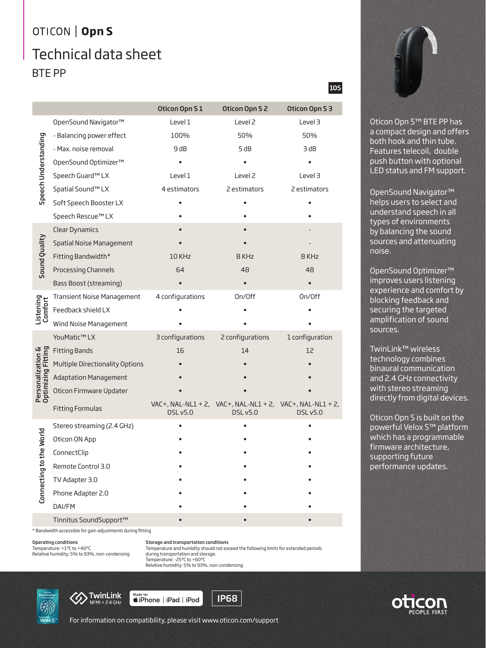# OTICON | Opn S Technical data sheet BTE PP

|                                         |                                 | Oticon Opn S1    | Oticon Opn S 2                                                              | Oticon Opn S 3  |
|-----------------------------------------|---------------------------------|------------------|-----------------------------------------------------------------------------|-----------------|
| Speech Understanding                    | OpenSound Navigator™            | Level 1          | Level <sub>2</sub>                                                          | Level 3         |
|                                         | - Balancing power effect        | 100%             | 50%                                                                         | 50%             |
|                                         | - Max. noise removal            | 9 dB             | 5 dB                                                                        | 3 dB            |
|                                         | OpenSound Optimizer™            |                  |                                                                             |                 |
|                                         | Speech Guard™ LX                | Level 1          | Level <sub>2</sub>                                                          | Level 3         |
|                                         | Spatial Sound™ LX               | 4 estimators     | 2 estimators                                                                | 2 estimators    |
|                                         | Soft Speech Booster LX          |                  |                                                                             |                 |
|                                         | Speech Rescue™ LX               |                  |                                                                             |                 |
| Sound Quality                           | <b>Clear Dynamics</b>           |                  |                                                                             |                 |
|                                         | <b>Spatial Noise Management</b> |                  |                                                                             |                 |
|                                         | Fitting Bandwidth*              | 10 KHz           | 8 KHz                                                                       | 8 KHz           |
|                                         | Processing Channels             | 64               | 48                                                                          | 48              |
|                                         | Bass Boost (streaming)          |                  |                                                                             |                 |
|                                         | Transient Noise Management      | 4 configurations | On/Off                                                                      | On/Off          |
| Listening<br>Comfort                    | Feedback shield LX              |                  |                                                                             |                 |
|                                         | Wind Noise Management           |                  |                                                                             |                 |
|                                         | YouMatic™ LX                    | 3 configurations | 2 configurations                                                            | 1 configuration |
|                                         | <b>Fitting Bands</b>            | 16               | 14                                                                          | 12              |
|                                         | Multiple Directionality Options |                  |                                                                             |                 |
|                                         | <b>Adaptation Management</b>    |                  |                                                                             |                 |
| Personalization &<br>Optimizing Fitting | Oticon Firmware Updater         |                  |                                                                             |                 |
|                                         | <b>Fitting Formulas</b>         | <b>DSL v5.0</b>  | VAC+, NAL-NL1 + 2, VAC+, NAL-NL1 + 2, VAC+, NAL-NL1 + 2,<br><b>DSL v5.0</b> | <b>DSL v5.0</b> |
| the World<br>Connecting to              | Stereo streaming (2.4 GHz)      |                  |                                                                             |                 |
|                                         | Oticon ON App                   |                  |                                                                             |                 |
|                                         | ConnectClip                     |                  |                                                                             |                 |
|                                         | Remote Control 3.0              |                  |                                                                             |                 |
|                                         | TV Adapter 3.0                  |                  |                                                                             |                 |
|                                         | Phone Adapter 2.0               |                  |                                                                             |                 |
|                                         | DAI/FM                          |                  |                                                                             |                 |
|                                         | Tinnitus SoundSupport™          |                  |                                                                             |                 |
|                                         |                                 |                  |                                                                             |                 |

\* Bandwidth accessible for gain adjustments during fitting

## Operating conditions

Temperature: +1°C to +40°C Relative humidity: 5% to 93%, non-condensing Storage and transportation conditions Temperature and humidity should not exceed the following limits for extended periods

during transportation and storage.

Temperature: -25°C to +60°C Relative humidity: 5% to 93%, non-condensing

**MK Powered by**<br>Velox [S]



Made for<br> *SiPhone* | iPad | iPod





105

Oticon Opn S™ BTE PP has a compact design and offers both hook and thin tube. Features telecoil, double push button with optional LED status and FM support.

OpenSound Navigator™ helps users to select and understand speech in all types of environments by balancing the sound sources and attenuating noise.

OpenSound Optimizer™ improves users listening experience and comfort by blocking feedback and securing the targeted amplification of sound sources.

TwinLink™ wireless technology combines binaural communication and 2.4 GHz connectivity with stereo streaming directly from digital devices.

Oticon Opn S is built on the powerful Velox S™ platform which has a programmable firmware architecture, supporting future performance updates.



For information on compatibility, please visit www.oticon.com/support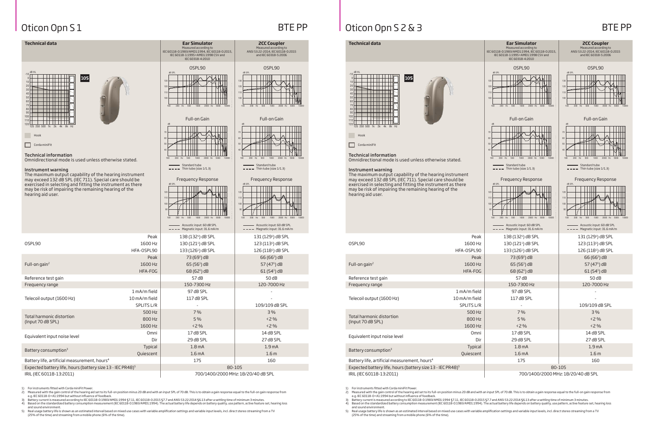

## IRIL (IEC 60118-13:2011) 700/1400/2000 MHz: 18/20/40 dB SPL

Measured according to IEC 60118-0:1983/AMD1:1994, IEC 60118-0:2015, IEC 60118-1:1995+AMD1:1998 CSV and IEC 60318-4:2010

**2CC Coupler** Measured according to ANSI S3.22-2014, IEC 60118-0:2015 and IEC 60318-5:2006

OSPL90 OSPL90

100 200 Hz 500 1000 2000 Hz 5000 10000

 $\blacksquare$ 

TH

**THE REA** 

 $\triangle M$ 

KY 1.

T FA

a katika m

<u> Filmin k</u>

100 200 Hz 500 1000 2000 Hz 5000 10000

<u>rin 1</u>

Full-on Gain Full-on Gain

100 200 Hz 500 1000 2000 Hz 5000 10000

100 200 Hz 500 1000 2000 Hz 5000 10000

- Standard tube

# Oticon Opn S 1 BTE PP Oticon Opn S 2 & 3 BTE PP

### **Technical data** Early **Ear Simulator Early Simulator** dB HL -10 105 0 10  $\overline{\phantom{a}}$ 20 30  $\begin{picture}(20,10) \put(0,0){\line(1,0){10}} \put(10,0){\line(1,0){10}} \put(10,0){\line(1,0){10}} \put(10,0){\line(1,0){10}} \put(10,0){\line(1,0){10}} \put(10,0){\line(1,0){10}} \put(10,0){\line(1,0){10}} \put(10,0){\line(1,0){10}} \put(10,0){\line(1,0){10}} \put(10,0){\line(1,0){10}} \put(10,0){\line(1,0){10}} \put(10,0){\line(1$ 40 50 60 maanaa 70 ويواد والماسا 80 نماح تعادمات 90 <u>s no man sa san</u> 100 120 120 121 121 12 110 Hook Andreas and the control of the control of the control of the control of the control of the control of the control of the control of the control of the control of the control of the control of the control of the contro Corda miniFit Corda miniFit Corda miniFit Corda miniFit Corda miniFit Corda miniFit Corda miniFit Corda miniFit Technical information

| <b>Technical data</b>                                                                                                                                                                                                                                                                |                                             | <b>Ear Simulator</b><br>Measured according to<br>IEC 60118-0:1983/AMD1:1994, IEC 60118-0:2015,<br>IEC 60118-1:1995+AMD1:1998 CSV and<br>IEC 60318-4:2010       | <b>2CC Coupler</b><br>Measured according<br>ANSI S3.22-2014, IEC 60118<br>and IEC 60318-5:200                                                                                                     |
|--------------------------------------------------------------------------------------------------------------------------------------------------------------------------------------------------------------------------------------------------------------------------------------|---------------------------------------------|----------------------------------------------------------------------------------------------------------------------------------------------------------------|---------------------------------------------------------------------------------------------------------------------------------------------------------------------------------------------------|
| dB HL<br>$-10$<br>105<br>$\Omega$<br>10<br>20<br>30<br>40<br>50<br>60<br>70<br>80<br>90<br>100<br>110<br>120<br>125 250 500 1k 2k 4k 8k Hz<br>Hook<br>Corda miniFit<br><b>Technical information</b><br>Omnidirectional mode is used unless otherwise stated.                         |                                             |                                                                                                                                                                | OSPL90<br>dB SPL<br>130<br>120<br>110<br>100<br>100<br>200<br>Hz<br>500<br>1000<br>2000<br>Full-on Gain<br>dB<br>70<br>60<br>50<br>40<br>500<br>2000<br>100<br>200<br>Hz<br>1000<br>Standard tube |
| Instrument warning<br>The maximum output capability of the hearing instrument<br>may exceed 132 dB SPL (IEC 711). Special care should be<br>exercised in selecting and fitting the instrument as there<br>may be risk of impairing the remaining hearing of the<br>hearing aid user. |                                             | $-$ Thin tube (size $1/1.3$ )<br><b>Frequency Response</b><br>dB SPL<br>120<br>110<br>100<br>90<br>200<br>Hz<br>1000<br>2000 Hz<br>5000<br>100<br>500<br>10000 | - Thin tube (size 1/1.3)<br><b>Frequency Respo</b><br>dB SPL<br>120<br>110<br>100<br>90<br>200<br>Hz<br>500<br>1000<br>2000<br>100                                                                |
|                                                                                                                                                                                                                                                                                      |                                             | Acoustic input: 60 dB SPL<br>Magnetic input: 31.6 mA/m                                                                                                         | Acoustic input: 60 dE<br>Magnetic input: 31.6                                                                                                                                                     |
| OSPL90                                                                                                                                                                                                                                                                               | Peak<br>1600 Hz<br>HFA-OSPL90               | 138 (132 <sup>1</sup> ) dB SPL<br>130 (121 <sup>1</sup> ) dB SPL<br>133 (126 <sup>1</sup> ) dB SPL                                                             | 131 (129 <sup>1</sup> ) dB S<br>123 (113 <sup>1</sup> ) dB S<br>126 (118 <sup>1</sup> ) dB S                                                                                                      |
| Full-on gain <sup>2</sup>                                                                                                                                                                                                                                                            | Peak<br>1600 Hz<br>HFA-FOG                  | 73 (69 <sup>1</sup> ) dB<br>$65(561)$ dB<br>68 (62 <sup>1</sup> ) dB                                                                                           | 66 (66 <sup>1</sup> ) dB<br>57 $(471)$ dB<br>61 (54 <sup>1</sup> ) dB                                                                                                                             |
| Reference test gain                                                                                                                                                                                                                                                                  |                                             | 57 dB                                                                                                                                                          | 50 dB                                                                                                                                                                                             |
| Frequency range                                                                                                                                                                                                                                                                      |                                             | 150-7300 Hz                                                                                                                                                    | 120-7000 Hz                                                                                                                                                                                       |
| Telecoil output (1600 Hz)                                                                                                                                                                                                                                                            | 1 mA/m field<br>10 mA/m field<br>SPLITS L/R | 97 dB SPL<br>117 dB SPL                                                                                                                                        | 109/109 dB SF                                                                                                                                                                                     |
| Total harmonic distortion<br>(Input 70 dB SPL)                                                                                                                                                                                                                                       | 500 Hz<br>800 Hz<br>1600 Hz                 | 7 %<br>5 %<br>< 2%                                                                                                                                             | 3%<br><2 %<br><2 %                                                                                                                                                                                |
| Equivalent input noise level                                                                                                                                                                                                                                                         | Omni<br>Dir                                 | 17 dB SPL<br>29 dB SPL                                                                                                                                         | 14 dB SPL<br>27 dB SPL                                                                                                                                                                            |
| Battery consumption <sup>3</sup>                                                                                                                                                                                                                                                     | Typical<br>Quiescent                        | 1.8 <sub>mA</sub><br>1.6 <sub>mA</sub>                                                                                                                         | 1.9 <sub>mA</sub><br>1.6 <sub>m</sub>                                                                                                                                                             |
| Battery life, artificial measurement, hours <sup>4</sup>                                                                                                                                                                                                                             |                                             | 175                                                                                                                                                            | 160                                                                                                                                                                                               |
|                                                                                                                                                                                                                                                                                      |                                             |                                                                                                                                                                |                                                                                                                                                                                                   |

Expected battery life, hours (battery size 13 - IEC PR48)<sup>5</sup> 80-105 80-105

IRIL (IEC 60118-13:2011) 700/1400/2000 MHz: 18/20/40 dB SPL

1) For instruments fitted with Corda miniFit Power.

2) Measured with the gain control of the hearing aid set to its full-on position minus 20 dB and with an input SPL of 70 dB. This is to obtain a gain response equal to the full-on gain response from<br>e.g. IEC 60118-0+A1:199

3) Battery current is measured according to IEC 60118-0:1983/AMD1:1994 §7.11, IEC 60118-0:2015 §7.7 and ANSI S3.22:2014 §6.13 after a settling time of minimum 3 minutes. 4) Based on the standardized battery consumption measurement (IEC 60118-0:1983/AMD1:1994). The actual battery life depends on battery quality, use pattern, active feature set, hearing loss

and sound environment. 5) Real usage battery life is shown as an estimated interval based on mixed use cases with variable amplification settings and variable input levels, incl. direct stereo streaming from a TV (25% of the time) and streaming from a mobile phone (6% of the time).

| Instrument warning                                                                                                                       |                   | $---$ Thin tube (size $1/1.3$ )                                                        | $---$ Thin tube (size $1/1.3$ )                                                            |  |
|------------------------------------------------------------------------------------------------------------------------------------------|-------------------|----------------------------------------------------------------------------------------|--------------------------------------------------------------------------------------------|--|
| The maximum output capability of the hearing instrument<br>may exceed 132 dB SPL (IEC 711). Special care should be                       |                   | <b>Frequency Response</b>                                                              | <b>Frequency Response</b>                                                                  |  |
| exercised in selecting and fitting the instrument as there<br>may be risk of impairing the remaining hearing of the<br>hearing aid user. |                   | dB SPL<br>120<br>110<br>100<br>90<br>2000 Hz 5000<br>200<br>Hz<br>500<br>1000<br>10000 | dB SPL<br>120<br>110<br>100<br>90<br>2000 Hz 5000<br>200 Hz<br>500<br>1000<br>100<br>10000 |  |
|                                                                                                                                          |                   | Acoustic input: 60 dB SPL<br>- Magnetic input: 31.6 mA/m                               | Acoustic input: 60 dB SPL<br>- Magnetic input: 31.6 mA/m                                   |  |
|                                                                                                                                          | Peak              | 138 (132 <sup>1</sup> ) dB SPL                                                         | 131 (129 <sup>1</sup> ) dB SPL                                                             |  |
| 0SPL90                                                                                                                                   | 1600 Hz           | 130 (121 <sup>1</sup> ) dB SPL                                                         | 123 (113 <sup>1</sup> ) dB SPL                                                             |  |
|                                                                                                                                          | HFA-OSPL90        | 133 (126 <sup>1</sup> ) dB SPL                                                         | 126 (118 <sup>1</sup> ) dB SPL                                                             |  |
|                                                                                                                                          | Peak              | 73 (69 <sup>1</sup> ) dB                                                               | $66(661)$ dB                                                                               |  |
| Full-on gain <sup>2</sup>                                                                                                                | 1600 Hz           | $65(561)$ dB                                                                           | 57 $(471)$ dB                                                                              |  |
|                                                                                                                                          | HFA-FOG           | 68 (62 <sup>1</sup> ) dB                                                               | $61(54)$ dB                                                                                |  |
| Reference test gain                                                                                                                      |                   | 57 dB                                                                                  | 50 dB                                                                                      |  |
| Frequency range                                                                                                                          |                   | 150-7300 Hz                                                                            | 120-7000 Hz                                                                                |  |
|                                                                                                                                          | 1 mA/m field      | 97 dB SPL                                                                              |                                                                                            |  |
| Telecoil output (1600 Hz)                                                                                                                | 10 mA/m field     | 117 dB SPL                                                                             |                                                                                            |  |
|                                                                                                                                          | <b>SPLITS L/R</b> |                                                                                        | 109/109 dB SPL                                                                             |  |
| Total harmonic distortion                                                                                                                | 500 Hz            | 7%                                                                                     | 3%                                                                                         |  |
| (Input 70 dB SPL)                                                                                                                        | 800 Hz            | 5 %                                                                                    | $< 2\%$                                                                                    |  |
|                                                                                                                                          | 1600 Hz           | < 2%                                                                                   | < 2%                                                                                       |  |
| Equivalent input noise level                                                                                                             | Omni              | 17 dB SPL                                                                              | 14 dB SPL                                                                                  |  |
|                                                                                                                                          | Dir               | 29 dB SPL                                                                              | 27 dB SPL                                                                                  |  |
| Battery consumption <sup>3</sup>                                                                                                         | Typical           | 1.8 <sub>mA</sub>                                                                      | 1.9 <sub>mA</sub>                                                                          |  |
|                                                                                                                                          | Quiescent         | 1.6 <sub>mA</sub>                                                                      | 1.6 <sub>m</sub>                                                                           |  |
| Battery life, artificial measurement, hours <sup>4</sup>                                                                                 |                   | 175                                                                                    | 160                                                                                        |  |
| Expected battery life, hours (battery size 13 - IEC PR48) <sup>5</sup>                                                                   |                   | 80-105                                                                                 |                                                                                            |  |

1) For instruments fitted with Corda miniFit Power.

2) Measured with the gain control of the hearing aid set to its full-on position minus 20 dB and with an input SPL of 70 dB. This is to obtain a gain response equal to the full-on gain response from<br>e.g. IEC 60118-0+A1:199

3) Battery current is measured according to IEC 60118-0:1983/AMD1:1994 §7.11, IEC 60118-0:2015 §7.7 and ANSI S3.22:2014 §6.13 after a settling time of minimum 3 minutes. 4) Based on the standardized battery consumption measurement (IEC 60118-0:1983/AMD1:1994). The actual battery life depends on battery quality, use pattern, active feature set, hearing loss and sound environment.

5) Real usage battery life is shown as an estimated interval based on mixed use cases with variable amplification settings and variable input levels, incl. direct stereo streaming from a TV (25% of the time) and streaming from a mobile phone (6% of the time).

Omnidirectional mode is used unless otherwise stated.

# Instrument warning

Standard tube